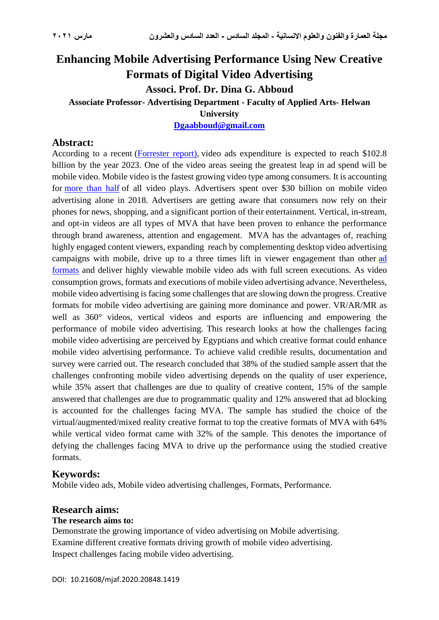## **Enhancing Mobile Advertising Performance Using New Creative Formats of Digital Video Advertising Associ. Prof. Dr. Dina G. Abboud Associate Professor- Advertising Department - Faculty of Applied Arts- Helwan University**

**[Dgaabboud@gmail.com](mailto:Dgaabboud@gmail.com)**

## **Abstract:**

According to a recent [\(Forrester report\)](https://marketingland.com/forrester-report-video-ad-spending-expected-to-hit-103b-in-2023-246876), video ads expenditure is expected to reach \$102.8 billion by the year 2023. One of the video areas seeing the greatest leap in ad spend will be mobile video. Mobile video is the fastest growing video type among consumers. It is accounting for [more than half](https://www.wordstream.com/blog/ws/2017/03/08/video-marketing-statistics) of all video plays. Advertisers spent over \$30 billion on mobile video advertising alone in 2018. Advertisers are getting aware that consumers now rely on their phones for news, shopping, and a significant portion of their entertainment. Vertical, in-stream, and opt-in videos are all types of MVA that have been proven to enhance the performance through brand awareness, attention and engagement. MVA has the advantages of, reaching highly engaged content viewers, expanding reach by complementing desktop video advertising campaigns with mobile, drive up to a three times lift in viewer engagement than other [ad](https://www.tubemogul.com/ad-specs/)  [formats](https://www.tubemogul.com/ad-specs/) and deliver highly viewable mobile video ads with full screen executions. As video consumption grows, formats and executions of mobile video advertising advance. Nevertheless, mobile video advertising is facing some challenges that are slowing down the progress. Creative formats for mobile video advertising are gaining more dominance and power. VR/AR/MR as well as 360° videos, vertical videos and esports are influencing and empowering the performance of mobile video advertising. This research looks at how the challenges facing mobile video advertising are perceived by Egyptians and which creative format could enhance mobile video advertising performance. To achieve valid credible results, documentation and survey were carried out. The research concluded that 38% of the studied sample assert that the challenges confronting mobile video advertising depends on the quality of user experience, while 35% assert that challenges are due to quality of creative content, 15% of the sample answered that challenges are due to programmatic quality and 12% answered that ad blocking is accounted for the challenges facing MVA. The sample has studied the choice of the virtual/augmented/mixed reality creative format to top the creative formats of MVA with 64% while vertical video format came with 32% of the sample. This denotes the importance of defying the challenges facing MVA to drive up the performance using the studied creative formats.

## **Keywords:**

Mobile video ads, Mobile video advertising challenges, Formats, Performance.

## **Research aims:**

#### **The research aims to:**

Demonstrate the growing importance of video advertising on Mobile advertising. Examine different creative formats driving growth of mobile video advertising. Inspect challenges facing mobile video advertising.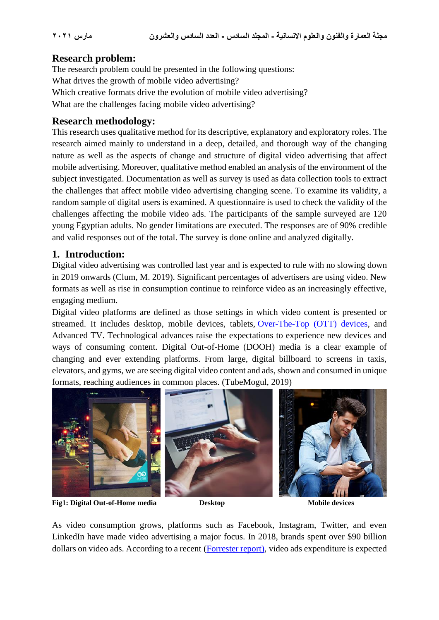## **Research problem:**

The research problem could be presented in the following questions: What drives the growth of mobile video advertising? Which creative formats drive the evolution of mobile video advertising? What are the challenges facing mobile video advertising?

## **Research methodology:**

This research uses qualitative method for its descriptive, explanatory and exploratory roles. The research aimed mainly to understand in a deep, detailed, and thorough way of the changing nature as well as the aspects of change and structure of digital video advertising that affect mobile advertising. Moreover, qualitative method enabled an analysis of the environment of the subject investigated. Documentation as well as survey is used as data collection tools to extract the challenges that affect mobile video advertising changing scene. To examine its validity, a random sample of digital users is examined. A questionnaire is used to check the validity of the challenges affecting the mobile video ads. The participants of the sample surveyed are 120 young Egyptian adults. No gender limitations are executed. The responses are of 90% credible and valid responses out of the total. The survey is done online and analyzed digitally.

## **1. Introduction:**

Digital video advertising was controlled last year and is expected to rule with no slowing down in 2019 onwards (Clum, M. 2019). Significant percentages of advertisers are using video. New formats as well as rise in consumption continue to reinforce video as an increasingly effective, engaging medium.

Digital video platforms are defined as those settings in which video content is presented or streamed. It includes desktop, mobile devices, tablets, [Over-The-Top \(OTT\) devices,](http://dvglossary.www2.iab.com/#chapter-44) and Advanced TV. Technological advances raise the expectations to experience new devices and ways of consuming content. Digital Out-of-Home (DOOH) media is a clear example of changing and ever extending platforms. From large, digital billboard to screens in taxis, elevators, and gyms, we are seeing digital video content and ads, shown and consumed in unique formats, reaching audiences in common places. (TubeMogul, 2019)



**Fig1: Digital Out-of-Home media Desktop Mobile devices**

As video consumption grows, platforms such as Facebook, Instagram, Twitter, and even LinkedIn have made video advertising a major focus. In 2018, brands spent over \$90 billion dollars on video ads. According to a recent [\(Forrester report\)](https://marketingland.com/forrester-report-video-ad-spending-expected-to-hit-103b-in-2023-246876), video ads expenditure is expected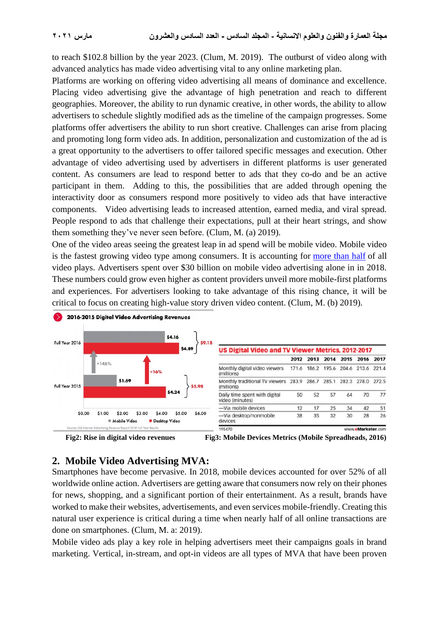to reach \$102.8 billion by the year 2023. (Clum, M. 2019). The outburst of video along with advanced analytics has made video advertising vital to any online marketing plan.

Platforms are working on offering video advertising all means of dominance and excellence. Placing video advertising give the advantage of high penetration and reach to different geographies. Moreover, the ability to run dynamic creative, in other words, the ability to allow advertisers to schedule slightly modified ads as the timeline of the campaign progresses. Some platforms offer advertisers the ability to run short creative. Challenges can arise from placing and promoting long form video ads. In addition, personalization and customization of the ad is a great opportunity to the advertisers to offer tailored specific messages and execution. Other advantage of video advertising used by advertisers in different platforms is user generated content. As consumers are lead to respond better to ads that they co-do and be an active participant in them. Adding to this, the possibilities that are added through opening the interactivity door as consumers respond more positively to video ads that have interactive components. Video advertising leads to increased attention, earned media, and viral spread. People respond to ads that challenge their expectations, pull at their heart strings, and show them something they've never seen before. (Clum, M. (a) 2019).

One of the video areas seeing the greatest leap in ad spend will be mobile video. Mobile video is the fastest growing video type among consumers. It is accounting for [more than half](https://www.wordstream.com/blog/ws/2017/03/08/video-marketing-statistics) of all video plays. Advertisers spent over \$30 billion on mobile video advertising alone in in 2018. These numbers could grow even higher as content providers unveil more mobile-first platforms and experiences. For advertisers looking to take advantage of this rising chance, it will be critical to focus on creating high-value story driven video content. (Clum, M. (b) 2019).



## **2. Mobile Video Advertising MVA:**

Smartphones have become pervasive. In 2018, mobile devices accounted for over 52% of all worldwide online action. Advertisers are getting aware that consumers now rely on their phones for news, shopping, and a significant portion of their entertainment. As a result, brands have worked to make their websites, advertisements, and even services mobile-friendly. Creating this natural user experience is critical during a time when nearly half of all online transactions are done on smartphones. (Clum, M. a: 2019).

Mobile video ads play a key role in helping advertisers meet their campaigns goals in brand marketing. Vertical, in-stream, and opt-in videos are all types of MVA that have been proven

**Fig2: Rise in digital video revenues Fig3: Mobile Devices Metrics (Mobile Spreadheads, 2016)**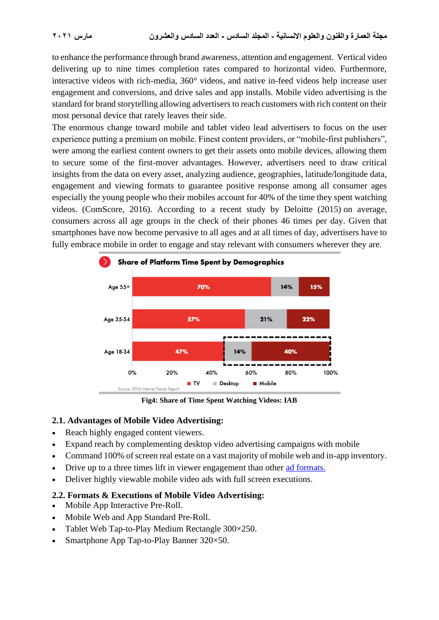to enhance the performance through brand awareness, attention and engagement. Vertical video delivering up to nine times completion rates compared to horizontal video. Furthermore, interactive videos with rich-media, 360° videos, and native in-feed videos help increase user engagement and conversions, and drive sales and app installs. Mobile video advertising is the standard for brand storytelling allowing advertisers to reach customers with rich content on their most personal device that rarely leaves their side.

The enormous change toward mobile and tablet video lead advertisers to focus on the user experience putting a premium on mobile. Finest content providers, or "mobile-first publishers", were among the earliest content owners to get their assets onto mobile devices, allowing them to secure some of the first-mover advantages. However, advertisers need to draw critical insights from the data on every asset, analyzing audience, geographies, latitude/longitude data, engagement and viewing formats to guarantee positive response among all consumer ages especially the young people who their mobiles account for 40% of the time they spent watching videos. (ComScore, 2016). According to a recent study by Deloitte (2015) on average, consumers across all age groups in the check of their phones 46 times per day. Given that smartphones have now become pervasive to all ages and at all times of day, advertisers have to fully embrace mobile in order to engage and stay relevant with consumers wherever they are.



**Fig4: Share of Time Spent Watching Videos: IAB**

## **2.1. Advantages of Mobile Video Advertising:**

- Reach highly engaged content viewers.
- Expand reach by complementing desktop video advertising campaigns with mobile
- Command 100% of screen real estate on a vast majority of mobile web and in-app inventory.
- Drive up to a three times lift in viewer engagement than other [ad formats.](https://www.tubemogul.com/ad-specs/)
- Deliver highly viewable mobile video ads with full screen executions.

## **2.2. Formats & Executions of Mobile Video Advertising:**

- Mobile App Interactive Pre-Roll.
- Mobile Web and App Standard Pre-Roll.
- Tablet Web Tap-to-Play Medium Rectangle 300×250.
- Smartphone App Tap-to-Play Banner 320×50.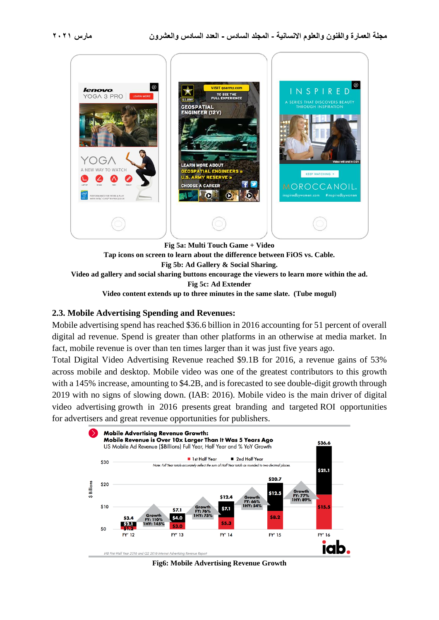

**Fig 5a: Multi Touch Game + Video**

**Tap icons on screen to learn about the difference between FiOS vs. Cable. Fig 5b: Ad Gallery & Social Sharing. Video ad gallery and social sharing buttons encourage the viewers to learn more within the ad. Fig 5c: Ad Extender**

**Video content extends up to three minutes in the same slate. (Tube mogul)**

## **2.3. Mobile Advertising Spending and Revenues:**

Mobile advertising spend has reached \$36.6 billion in 2016 accounting for 51 percent of overall digital ad revenue. Spend is greater than other platforms in an otherwise at media market. In fact, mobile revenue is over than ten times larger than it was just five years ago.

Total Digital Video Advertising Revenue reached \$9.1B for 2016, a revenue gains of 53% across mobile and desktop. Mobile video was one of the greatest contributors to this growth with a 145% increase, amounting to \$4.2B, and is forecasted to see double-digit growth through 2019 with no signs of slowing down. (IAB: 2016). Mobile video is the main driver of digital video advertising growth in 2016 presents great branding and targeted ROI opportunities for advertisers and great revenue opportunities for publishers.



**Fig6: Mobile Advertising Revenue Growth**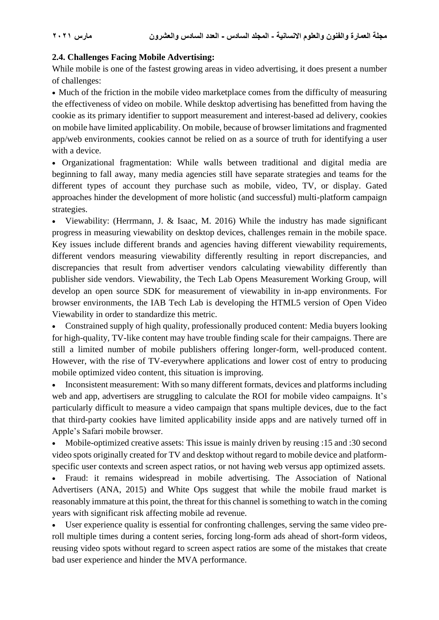## **2.4. Challenges Facing Mobile Advertising:**

While mobile is one of the fastest growing areas in video advertising, it does present a number of challenges:

• Much of the friction in the mobile video marketplace comes from the difficulty of measuring the effectiveness of video on mobile. While desktop advertising has benefitted from having the cookie as its primary identifier to support measurement and interest-based ad delivery, cookies on mobile have limited applicability. On mobile, because of browser limitations and fragmented app/web environments, cookies cannot be relied on as a source of truth for identifying a user with a device.

• Organizational fragmentation: While walls between traditional and digital media are beginning to fall away, many media agencies still have separate strategies and teams for the different types of account they purchase such as mobile, video, TV, or display. Gated approaches hinder the development of more holistic (and successful) multi-platform campaign strategies.

• Viewability: (Herrmann, J. & Isaac, M. 2016) While the industry has made significant progress in measuring viewability on desktop devices, challenges remain in the mobile space. Key issues include different brands and agencies having different viewability requirements, different vendors measuring viewability differently resulting in report discrepancies, and discrepancies that result from advertiser vendors calculating viewability differently than publisher side vendors. Viewability, the Tech Lab Opens Measurement Working Group, will develop an open source SDK for measurement of viewability in in-app environments. For browser environments, the IAB Tech Lab is developing the HTML5 version of Open Video Viewability in order to standardize this metric.

• Constrained supply of high quality, professionally produced content: Media buyers looking for high-quality, TV-like content may have trouble finding scale for their campaigns. There are still a limited number of mobile publishers offering longer-form, well-produced content. However, with the rise of TV-everywhere applications and lower cost of entry to producing mobile optimized video content, this situation is improving.

• Inconsistent measurement: With so many different formats, devices and platforms including web and app, advertisers are struggling to calculate the ROI for mobile video campaigns. It's particularly difficult to measure a video campaign that spans multiple devices, due to the fact that third-party cookies have limited applicability inside apps and are natively turned off in Apple's Safari mobile browser.

• Mobile-optimized creative assets: This issue is mainly driven by reusing :15 and :30 second video spots originally created for TV and desktop without regard to mobile device and platformspecific user contexts and screen aspect ratios, or not having web versus app optimized assets.

• Fraud: it remains widespread in mobile advertising. The Association of National Advertisers (ANA, 2015) and White Ops suggest that while the mobile fraud market is reasonably immature at this point, the threat for this channel is something to watch in the coming years with significant risk affecting mobile ad revenue.

• User experience quality is essential for confronting challenges, serving the same video preroll multiple times during a content series, forcing long-form ads ahead of short-form videos, reusing video spots without regard to screen aspect ratios are some of the mistakes that create bad user experience and hinder the MVA performance.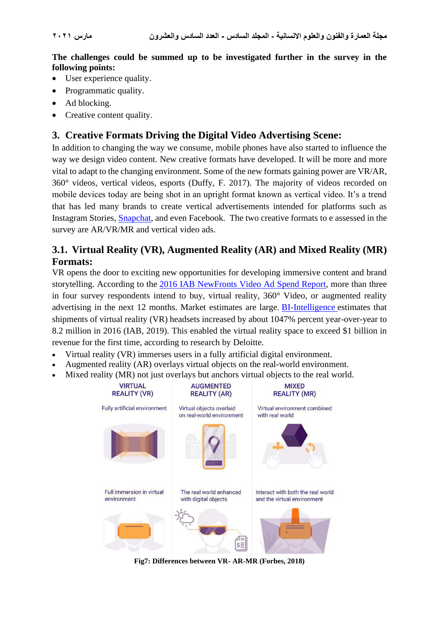**The challenges could be summed up to be investigated further in the survey in the following points:**

- User experience quality.
- Programmatic quality.
- Ad blocking.
- Creative content quality.

## **3. Creative Formats Driving the Digital Video Advertising Scene:**

In addition to changing the way we consume, mobile phones have also started to influence the way we design video content. New creative formats have developed. It will be more and more vital to adapt to the changing environment. Some of the new formats gaining power are VR/AR, 360° videos, vertical videos, esports (Duffy, F. 2017). The majority of videos recorded on mobile devices today are being shot in an upright format known as vertical video. It's a trend that has led many brands to create vertical advertisements intended for platforms such as Instagram Stories, [Snapchat,](https://www.wordstream.com/blog/ws/2019/01/09/snapchat-ads) and even Facebook. The two creative formats to e assessed in the survey are AR/VR/MR and vertical video ads.

## **3.1. Virtual Reality (VR), Augmented Reality (AR) and Mixed Reality (MR) Formats:**

VR opens the door to exciting new opportunities for developing immersive content and brand storytelling. According to the [2016 IAB NewFronts Video Ad Spend Report,](https://www.iab.com/wp-content/uploads/2017/05/2017-IAB-NewFronts-Video-Ad-Spend-Report.pdf) more than three in four survey respondents intend to buy, virtual reality, 360° Video, or augmented reality advertising in the next 12 months. Market estimates are large. [BI-Intelligence](http://www.businessinsider.com/virtual-reality-report-2016-11) estimates that shipments of virtual reality (VR) headsets increased by about 1047% percent year-over-year to 8.2 million in 2016 (IAB, 2019). This enabled the virtual reality space to exceed \$1 billion in revenue for the first time, according to research by Deloitte.

- Virtual reality (VR) immerses users in a fully artificial digital environment.
- Augmented reality (AR) overlays virtual objects on the real-world environment.
- Mixed reality (MR) not just overlays but anchors virtual objects to the real world.



**Fig7: Differences between VR- AR-MR (Forbes, 2018)**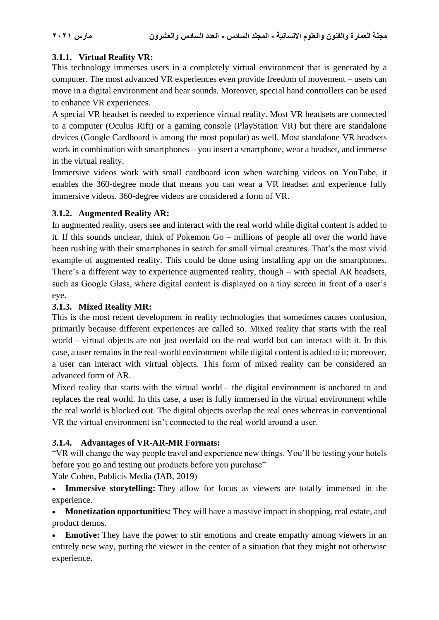## **3.1.1. Virtual Reality VR:**

This technology immerses users in a completely virtual environment that is generated by a computer. The most advanced VR experiences even provide freedom of movement – users can move in a digital environment and hear sounds. Moreover, special hand controllers can be used to enhance VR experiences.

A special VR headset is needed to experience virtual reality. Most VR headsets are connected to a computer (Oculus Rift) or a gaming console (PlayStation VR) but there are standalone devices (Google Cardboard is among the most popular) as well. Most standalone VR headsets work in combination with smartphones – you insert a smartphone, wear a headset, and immerse in the virtual reality.

Immersive videos work with small cardboard icon when watching videos on YouTube, it enables the 360-degree mode that means you can wear a VR headset and experience fully immersive videos. 360-degree videos are considered a form of VR.

## **3.1.2. Augmented Reality AR:**

In augmented reality, users see and interact with the real world while digital content is added to it. If this sounds unclear, think of Pokemon Go – millions of people all over the world have been rushing with their smartphones in search for small virtual creatures. That's the most vivid example of augmented reality. This could be done using installing app on the smartphones. There's a different way to experience augmented reality, though – with special AR headsets, such as Google Glass, where digital content is displayed on a tiny screen in front of a user's eye.

## **3.1.3. Mixed Reality MR:**

This is the most recent development in reality technologies that sometimes causes confusion, primarily because different experiences are called so. Mixed reality that starts with the real world – virtual objects are not just overlaid on the real world but can interact with it. In this case, a user remains in the real-world environment while digital content is added to it; moreover, a user can interact with virtual objects. This form of mixed reality can be considered an advanced form of AR.

Mixed reality that starts with the virtual world – the digital environment is anchored to and replaces the real world. In this case, a user is fully immersed in the virtual environment while the real world is blocked out. The digital objects overlap the real ones whereas in conventional VR the virtual environment isn't connected to the real world around a user.

## **3.1.4. Advantages of VR-AR-MR Formats:**

"VR will change the way people travel and experience new things. You'll be testing your hotels before you go and testing out products before you purchase"

Yale Cohen, Publicis Media (IAB, 2019)

• **Immersive storytelling:** They allow for focus as viewers are totally immersed in the experience.

• **Monetization opportunities:** They will have a massive impact in shopping, real estate, and product demos.

**Emotive:** They have the power to stir emotions and create empathy among viewers in an entirely new way, putting the viewer in the center of a situation that they might not otherwise experience.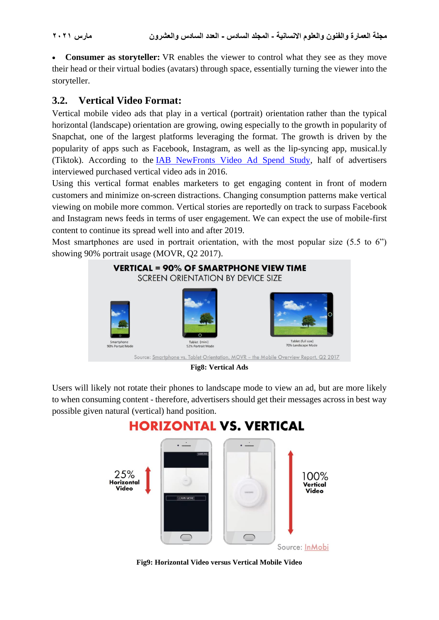• **Consumer as storyteller:** VR enables the viewer to control what they see as they move their head or their virtual bodies (avatars) through space, essentially turning the viewer into the storyteller.

## **3.2. Vertical Video Format:**

Vertical mobile video ads that play in a vertical (portrait) orientation rather than the typical horizontal (landscape) orientation are growing, owing especially to the growth in popularity of Snapchat, one of the largest platforms leveraging the format. The growth is driven by the popularity of apps such as Facebook, Instagram, as well as the lip-syncing app, musical.ly (Tiktok). According to the [IAB NewFronts Video Ad Spend Study,](https://video-guide.iab.com/mobile-video) half of advertisers interviewed purchased vertical video ads in 2016.

Using this vertical format enables marketers to get engaging content in front of modern customers and minimize on-screen distractions. Changing consumption patterns make vertical viewing on mobile more common. Vertical stories are reportedly on track to surpass Facebook and Instagram news feeds in terms of user engagement. We can expect the use of mobile-first content to continue its spread well into and after 2019.

Most smartphones are used in portrait orientation, with the most popular size (5.5 to 6") showing 90% portrait usage (MOVR, Q2 2017).



**Fig8: Vertical Ads**

Users will likely not rotate their phones to landscape mode to view an ad, but are more likely to when consuming content - therefore, advertisers should get their messages across in best way possible given natural (vertical) hand position.

# **HORIZONTAL VS. VERTICAL**



**Fig9: Horizontal Video versus Vertical Mobile Video**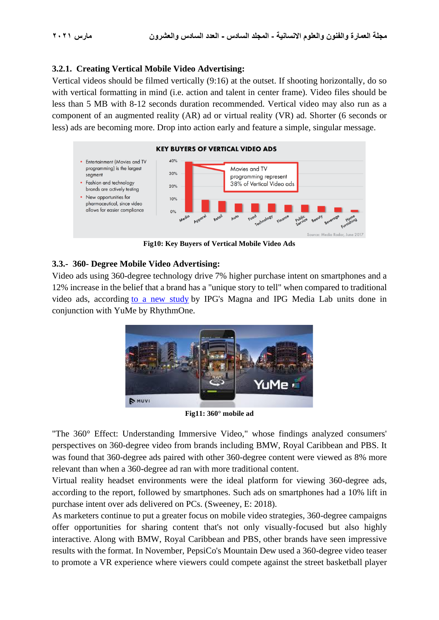## **3.2.1. Creating Vertical Mobile Video Advertising:**

Vertical videos should be filmed vertically (9:16) at the outset. If shooting horizontally, do so with vertical formatting in mind (i.e. action and talent in center frame). Video files should be less than 5 MB with 8-12 seconds duration recommended. Vertical video may also run as a component of an augmented reality (AR) ad or virtual reality (VR) ad. Shorter (6 seconds or less) ads are becoming more. Drop into action early and feature a simple, singular message.



**Fig10: Key Buyers of Vertical Mobile Video Ads**

## **3.3.- 360- Degree Mobile Video Advertising:**

Video ads using 360-degree technology drive 7% higher purchase intent on smartphones and a 12% increase in the belief that a brand has a "unique story to tell" when compared to traditional video ads, according [to a new](https://www.businesswire.com/news/home/20180313005884/en) study by IPG's Magna and IPG Media Lab units done in conjunction with YuMe by RhythmOne.



**Fig11: 360° mobile ad**

"The 360° Effect: Understanding Immersive Video," whose findings analyzed consumers' perspectives on 360-degree video from brands including BMW, Royal Caribbean and PBS. It was found that 360-degree ads paired with other 360-degree content were viewed as 8% more relevant than when a 360-degree ad ran with more traditional content.

Virtual reality headset environments were the ideal platform for viewing 360-degree ads, according to the report, followed by smartphones. Such ads on smartphones had a 10% lift in purchase intent over ads delivered on PCs. (Sweeney, E: 2018).

As marketers continue to put a greater focus on mobile video strategies, 360-degree campaigns offer opportunities for sharing content that's not only visually-focused but also highly interactive. Along with BMW, Royal Caribbean and PBS, other brands have seen impressive results with the format. In November, PepsiCo's Mountain Dew used a 360-degree video teaser to promote a VR experience where viewers could compete against the street basketball player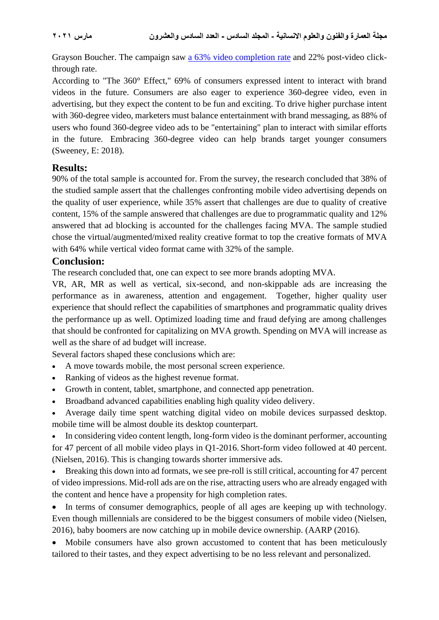Grayson Boucher. The campaign saw [a 63% video completion rate](https://www.marketingdive.com/news/mountain-dews-360-degree-video-teaser-drives-63-completion-rate/510950/) and 22% post-video clickthrough rate.

According to "The 360° Effect," 69% of consumers expressed intent to interact with brand videos in the future. Consumers are also eager to experience 360-degree video, even in advertising, but they expect the content to be fun and exciting. To drive higher purchase intent with 360-degree video, marketers must balance entertainment with brand messaging, as 88% of users who found 360-degree video ads to be "entertaining" plan to interact with similar efforts in the future. Embracing 360-degree video can help brands target younger consumers (Sweeney, E: 2018).

## **Results:**

90% of the total sample is accounted for. From the survey, the research concluded that 38% of the studied sample assert that the challenges confronting mobile video advertising depends on the quality of user experience, while 35% assert that challenges are due to quality of creative content, 15% of the sample answered that challenges are due to programmatic quality and 12% answered that ad blocking is accounted for the challenges facing MVA. The sample studied chose the virtual/augmented/mixed reality creative format to top the creative formats of MVA with 64% while vertical video format came with 32% of the sample.

## **Conclusion:**

The research concluded that, one can expect to see more brands adopting MVA.

VR, AR, MR as well as vertical, six-second, and non-skippable ads are increasing the performance as in awareness, attention and engagement. Together, higher quality user experience that should reflect the capabilities of smartphones and programmatic quality drives the performance up as well. Optimized loading time and fraud defying are among challenges that should be confronted for capitalizing on MVA growth. Spending on MVA will increase as well as the share of ad budget will increase.

Several factors shaped these conclusions which are:

- A move towards mobile, the most personal screen experience.
- Ranking of videos as the highest revenue format.
- Growth in content, tablet, smartphone, and connected app penetration.
- Broadband advanced capabilities enabling high quality video delivery.

• Average daily time spent watching digital video on mobile devices surpassed desktop. mobile time will be almost double its desktop counterpart.

• In considering video content length, [long-form video](http://dvglossary.www2.iab.com/#chapter-21) is the dominant performer, accounting for 47 percent of all mobile video plays in Q1-2016. Short-form video followed at 40 percent. (Nielsen, 2016). This is changing towards shorter immersive ads.

• Breaking this down into ad formats, we see pre-roll is still critical, accounting for 47 percent of video impressions. Mid-roll ads are on the rise, attracting users who are already engaged with the content and hence have a propensity for high completion rates.

• In terms of consumer demographics, people of all ages are keeping up with technology. Even though millennials are considered to be the biggest consumers of mobile video (Nielsen, 2016), baby boomers are now catching up in mobile device ownership. [\(AARP](https://press.aarp.org/2016-12-05-Smartphone-Ownership-Up-Among-Adults-Age-50-Plus-According-to-AARP-Research) (2016).

• Mobile consumers have also grown accustomed to content that has been meticulously tailored to their tastes, and they expect advertising to be no less relevant and personalized.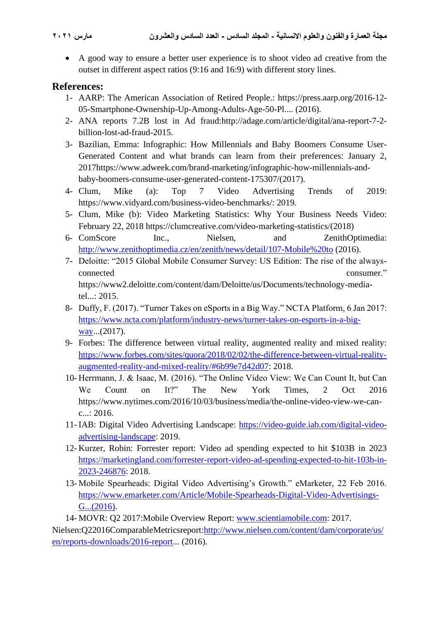• A good way to ensure a better user experience is to shoot video ad creative from the outset in different aspect ratios (9:16 and 16:9) with different story lines.

## **References:**

- 1- AARP: The American Association of Retired People.: https://press.aarp.org/2016-12- 05-Smartphone-Ownership-Up-Among-Adults-Age-50-Pl.... (2016).
- 2- ANA reports 7.2B lost in Ad fraud:http://adage.com/article/digital/ana-report-7-2 billion-lost-ad-fraud-2015.
- 3- Bazilian, Emma: Infographic: How Millennials and Baby Boomers Consume User-Generated Content and what brands can learn from their preferences: January 2, 2017https://www.adweek.com/brand-marketing/infographic-how-millennials-andbaby-boomers-consume-user-generated-content-175307/(2017).
- 4- Clum, Mike (a): Top 7 Video Advertising Trends of 2019: https://www.vidyard.com/business-video-benchmarks/: 2019.
- 5- Clum, Mike (b): Video Marketing Statistics: Why Your Business Needs Video: February 22, 2018 https://clumcreative.com/video-marketing-statistics/(2018)
- 6- ComScore Inc., Nielsen, and ZenithOptimedia: <http://www.zenithoptimedia.cz/en/zenith/news/detail/107-Mobile%20to> (2016).
- 7- Deloitte: "2015 Global Mobile Consumer Survey: US Edition: The rise of the alwaysconnected consumer." https://www2.deloitte.com/content/dam/Deloitte/us/Documents/technology-mediatel...: 2015.
- 8- Duffy, F. (2017). "Turner Takes on eSports in a Big Way." NCTA Platform, 6 Jan 2017: [https://www.ncta.com/platform/industry-news/turner-takes-on-esports-in-a-big](https://www.ncta.com/platform/industry-news/turner-takes-on-esports-in-a-big-way)[way.](https://www.ncta.com/platform/industry-news/turner-takes-on-esports-in-a-big-way)..(2017).
- 9- Forbes: The difference between virtual reality, augmented reality and mixed reality: [https://www.forbes.com/sites/quora/2018/02/02/the-difference-between-virtual-reality](https://www.forbes.com/sites/quora/2018/02/02/the-difference-between-virtual-reality-augmented-reality-and-mixed-reality/#6b99e7d42d07)[augmented-reality-and-mixed-reality/#6b99e7d42d07:](https://www.forbes.com/sites/quora/2018/02/02/the-difference-between-virtual-reality-augmented-reality-and-mixed-reality/#6b99e7d42d07) 2018.
- 10- Herrmann, J. & Isaac, M. (2016). "The Online Video View: We Can Count It, but Can We Count on It?" The New York Times, 2 Oct 2016 https://www.nytimes.com/2016/10/03/business/media/the-online-video-view-we-canc...: 2016.
- 11- IAB: Digital Video Advertising Landscape: [https://video-guide.iab.com/digital-video](https://video-guide.iab.com/digital-video-advertising-landscape)[advertising-landscape:](https://video-guide.iab.com/digital-video-advertising-landscape) 2019.
- 12- Kurzer, Robin: Forrester report: Video ad spending expected to hit \$103B in 2023 [https://marketingland.com/forrester-report-video-ad-spending-expected-to-hit-103b-in-](https://marketingland.com/forrester-report-video-ad-spending-expected-to-hit-103b-in-2023-246876)[2023-246876:](https://marketingland.com/forrester-report-video-ad-spending-expected-to-hit-103b-in-2023-246876) 2018.
- 13- Mobile Spearheads: Digital Video Advertising's Growth." eMarketer, 22 Feb 2016. [https://www.emarketer.com/Article/Mobile-Spearheads-Digital-Video-Advertisings-](https://www.emarketer.com/Article/Mobile-Spearheads-Digital-Video-Advertisings-G...(2016))[G...\(2016\).](https://www.emarketer.com/Article/Mobile-Spearheads-Digital-Video-Advertisings-G...(2016))

14- MOVR: Q2 2017:Mobile Overview Report: [www.scientiamobile.com:](http://www.scientiamobile.com/) 2017.

Nielsen:Q22016ComparableMetricsreport[:http://www.nielsen.com/content/dam/corporate/us/](http://www.nielsen.com/content/dam/corporate/us/en/reports-downloads/2016-report) [en/reports-downloads/2016-report.](http://www.nielsen.com/content/dam/corporate/us/en/reports-downloads/2016-report).. (2016).